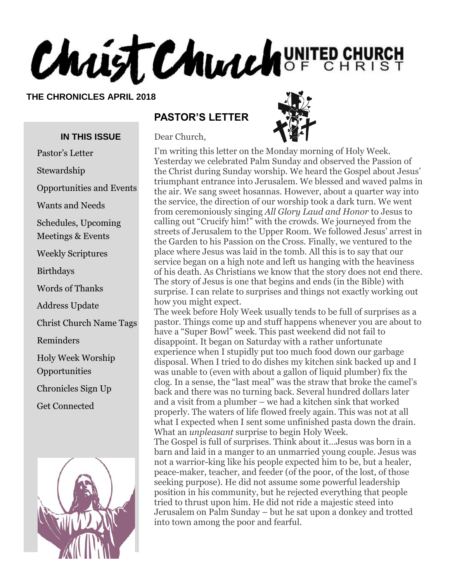# Christ Church UNITED CHURCH

#### **THE CHRONICLES APRIL 2018**

#### **IN THIS ISSUE**

Pastor's Letter

Stewardship

- Opportunities and Events
- Wants and Needs

Schedules, Upcoming

Meetings & Events

Weekly Scriptures

Birthdays

Words of Thanks

Address Update

Christ Church Name Tags

Reminders

Holy Week Worship

**Opportunities** 

Chronicles Sign Up

Get Connected



#### **PASTOR'S LETTER**

Dear Church,



I'm writing this letter on the Monday morning of Holy Week. Yesterday we celebrated Palm Sunday and observed the Passion of the Christ during Sunday worship. We heard the Gospel about Jesus' triumphant entrance into Jerusalem. We blessed and waved palms in the air. We sang sweet hosannas. However, about a quarter way into the service, the direction of our worship took a dark turn. We went from ceremoniously singing *All Glory Laud and Honor* to Jesus to calling out "Crucify him!" with the crowds. We journeyed from the streets of Jerusalem to the Upper Room. We followed Jesus' arrest in the Garden to his Passion on the Cross. Finally, we ventured to the place where Jesus was laid in the tomb. All this is to say that our service began on a high note and left us hanging with the heaviness of his death. As Christians we know that the story does not end there. The story of Jesus is one that begins and ends (in the Bible) with surprise. I can relate to surprises and things not exactly working out how you might expect.

The week before Holy Week usually tends to be full of surprises as a pastor. Things come up and stuff happens whenever you are about to have a "Super Bowl" week. This past weekend did not fail to disappoint. It began on Saturday with a rather unfortunate experience when I stupidly put too much food down our garbage disposal. When I tried to do dishes my kitchen sink backed up and I was unable to (even with about a gallon of liquid plumber) fix the clog. In a sense, the "last meal" was the straw that broke the camel's back and there was no turning back. Several hundred dollars later and a visit from a plumber – we had a kitchen sink that worked properly. The waters of life flowed freely again. This was not at all what I expected when I sent some unfinished pasta down the drain. What an *unpleasant* surprise to begin Holy Week.

The Gospel is full of surprises. Think about it…Jesus was born in a barn and laid in a manger to an unmarried young couple. Jesus was not a warrior-king like his people expected him to be, but a healer, peace-maker, teacher, and feeder (of the poor, of the lost, of those seeking purpose). He did not assume some powerful leadership position in his community, but he rejected everything that people tried to thrust upon him. He did not ride a majestic steed into Jerusalem on Palm Sunday – but he sat upon a donkey and trotted into town among the poor and fearful.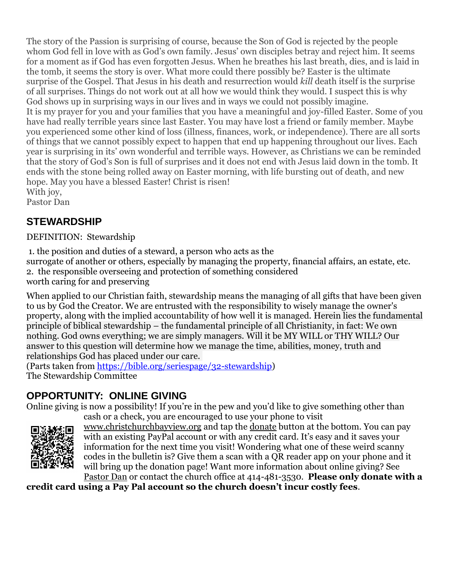The story of the Passion is surprising of course, because the Son of God is rejected by the people whom God fell in love with as God's own family. Jesus' own disciples betray and reject him. It seems for a moment as if God has even forgotten Jesus. When he breathes his last breath, dies, and is laid in the tomb, it seems the story is over. What more could there possibly be? Easter is the ultimate surprise of the Gospel. That Jesus in his death and resurrection would *kill* death itself is the surprise of all surprises. Things do not work out at all how we would think they would. I suspect this is why God shows up in surprising ways in our lives and in ways we could not possibly imagine. It is my prayer for you and your families that you have a meaningful and joy-filled Easter. Some of you have had really terrible years since last Easter. You may have lost a friend or family member. Maybe you experienced some other kind of loss (illness, finances, work, or independence). There are all sorts of things that we cannot possibly expect to happen that end up happening throughout our lives. Each year is surprising in its' own wonderful and terrible ways. However, as Christians we can be reminded that the story of God's Son is full of surprises and it does not end with Jesus laid down in the tomb. It ends with the stone being rolled away on Easter morning, with life bursting out of death, and new hope. May you have a blessed Easter! Christ is risen! With joy,

Pastor Dan

# **STEWARDSHIP**

DEFINITION: Stewardship

1. the position and duties of a [steward,](http://www.dictionary.com/browse/steward) a person who acts as the surrogate of another or others, especially by managing the property, financial affairs, an estate, etc. 2. the responsible overseeing and protection of something considered worth caring for and preserving

When applied to our Christian faith, stewardship means the managing of all gifts that have been given to us by God the Creator. We are entrusted with the responsibility to wisely manage the owner's property, along with the implied accountability of how well it is managed. Herein lies the fundamental principle of biblical stewardship – the fundamental principle of all Christianity, in fact: We own nothing. God owns everything; we are simply managers. Will it be MY WILL or THY WILL? Our answer to this question will determine how we manage the time, abilities, money, truth and relationships God has placed under our care.

(Parts taken from [https://bible.org/seriespage/32-stewardship\)](https://bible.org/seriespage/32-stewardship) The Stewardship Committee

# **OPPORTUNITY: ONLINE GIVING**

Online giving is now a possibility! If you're in the pew and you'd like to give something other than cash or a check, you are encouraged to use your phone to visit



[www.christchurchbayview.org](http://www.christchurchbayview.org/) and tap the [donate](https://www.paypal.com/cgi-bin/webscr?cmd=_s-xclick&hosted_button_id=D7W2VTZZBHZNU) button at the bottom. You can pay with an existing PayPal account or with any credit card. It's easy and it saves your information for the next time you visit! Wondering what one of these weird scanny codes in the bulletin is? Give them a scan with a QR reader app on your phone and it will bring up the donation page! Want more information about online giving? See

[Pastor Dan](mailto:dan_stark@att.net) or contact the church office at 414-481-3530. **Please only donate with a credit card using a Pay Pal account so the church doesn't incur costly fees**.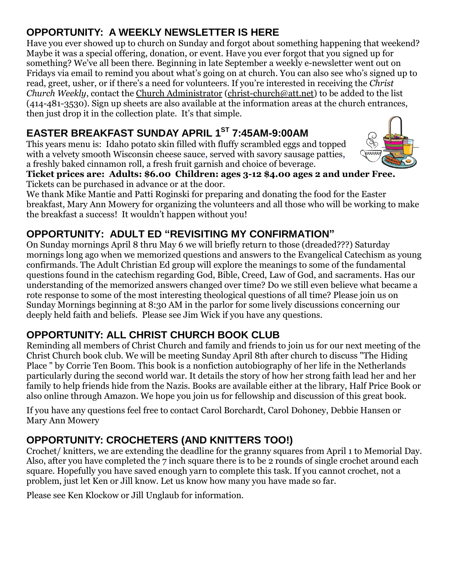# **OPPORTUNITY: A WEEKLY NEWSLETTER IS HERE**

Have you ever showed up to church on Sunday and forgot about something happening that weekend? Maybe it was a special offering, donation, or event. Have you ever forgot that you signed up for something? We've all been there. Beginning in late September a weekly e-newsletter went out on Fridays via email to remind you about what's going on at church. You can also see who's signed up to read, greet, usher, or if there's a need for volunteers. If you're interested in receiving the *Christ Church Weekly*, contact the [Church Administrator](mailto:christ-church@att.net) [\(christ-church@att.net\)](mailto:christ-church@att.net) to be added to the list (414-481-3530). Sign up sheets are also available at the information areas at the church entrances, then just drop it in the collection plate. It's that simple.

# **EASTER BREAKFAST SUNDAY APRIL 1ST 7:45AM-9:00AM**

This years menu is: Idaho potato skin filled with fluffy scrambled eggs and topped with a velvety smooth Wisconsin cheese sauce, served with savory sausage patties, a freshly baked cinnamon roll, a fresh fruit garnish and choice of beverage.



**Ticket prices are: Adults: \$6.00 Children: ages 3-12 \$4.00 ages 2 and under Free.** Tickets can be purchased in advance or at the door.

We thank Mike Mantie and Patti Roginski for preparing and donating the food for the Easter breakfast, Mary Ann Mowery for organizing the volunteers and all those who will be working to make the breakfast a success! It wouldn't happen without you!

# **OPPORTUNITY: ADULT ED "REVISITING MY CONFIRMATION"**

On Sunday mornings April 8 thru May 6 we will briefly return to those (dreaded???) Saturday mornings long ago when we memorized questions and answers to the Evangelical Catechism as young confirmands. The Adult Christian Ed group will explore the meanings to some of the fundamental questions found in the catechism regarding God, Bible, Creed, Law of God, and sacraments. Has our understanding of the memorized answers changed over time? Do we still even believe what became a rote response to some of the most interesting theological questions of all time? Please join us on Sunday Mornings beginning at 8:30 AM in the parlor for some lively discussions concerning our deeply held faith and beliefs. Please see Jim Wick if you have any questions.

# **OPPORTUNITY: ALL CHRIST CHURCH BOOK CLUB**

Reminding all members of Christ Church and family and friends to join us for our next meeting of the Christ Church book club. We will be meeting Sunday April 8th after church to discuss "The Hiding Place " by Corrie Ten Boom. This book is a nonfiction autobiography of her life in the Netherlands particularly during the second world war. It details the story of how her strong faith lead her and her family to help friends hide from the Nazis. Books are available either at the library, Half Price Book or also online through Amazon. We hope you join us for fellowship and discussion of this great book.

If you have any questions feel free to contact Carol Borchardt, Carol Dohoney, Debbie Hansen or Mary Ann Mowery

# **OPPORTUNITY: CROCHETERS (AND KNITTERS TOO!)**

Crochet/ knitters, we are extending the deadline for the granny squares from April 1 to Memorial Day. Also, after you have completed the 7 inch square there is to be 2 rounds of single crochet around each square. Hopefully you have saved enough yarn to complete this task. If you cannot crochet, not a problem, just let Ken or Jill know. Let us know how many you have made so far.

Please see Ken Klockow or Jill Unglaub for information.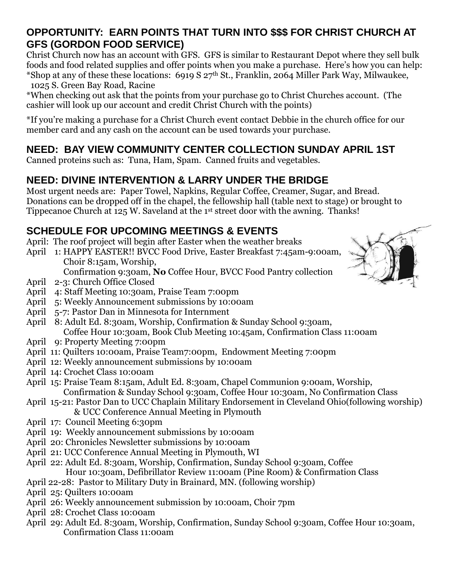### **OPPORTUNITY: EARN POINTS THAT TURN INTO \$\$\$ FOR CHRIST CHURCH AT GFS (GORDON FOOD SERVICE)**

Christ Church now has an account with GFS. GFS is similar to Restaurant Depot where they sell bulk foods and food related supplies and offer points when you make a purchase. Here's how you can help: \*Shop at any of these these locations: 6919 S  $27<sup>th</sup>$  St., Franklin, 2064 Miller Park Way, Milwaukee, 1025 S. Green Bay Road, Racine

\*When checking out ask that the points from your purchase go to Christ Churches account. (The cashier will look up our account and credit Christ Church with the points)

\*If you're making a purchase for a Christ Church event contact Debbie in the church office for our member card and any cash on the account can be used towards your purchase.

# **NEED: BAY VIEW COMMUNITY CENTER COLLECTION SUNDAY APRIL 1ST**

Canned proteins such as: Tuna, Ham, Spam. Canned fruits and vegetables.

# **NEED: DIVINE INTERVENTION & LARRY UNDER THE BRIDGE**

Most urgent needs are: Paper Towel, Napkins, Regular Coffee, Creamer, Sugar, and Bread. Donations can be dropped off in the chapel, the fellowship hall (table next to stage) or brought to Tippecanoe Church at 125 W. Saveland at the 1st street door with the awning. Thanks!

# **SCHEDULE FOR UPCOMING MEETINGS & EVENTS**

- April: The roof project will begin after Easter when the weather breaks
- April 1: HAPPY EASTER!! BVCC Food Drive, Easter Breakfast 7:45am-9:00am, Choir 8:15am, Worship,
	- Confirmation 9:30am, **No** Coffee Hour, BVCC Food Pantry collection
- April 2-3: Church Office Closed
- April 4: Staff Meeting 10:30am, Praise Team 7:00pm
- April 5: Weekly Announcement submissions by 10:00am
- April 5-7: Pastor Dan in Minnesota for Internment
- April 8: Adult Ed. 8:30am, Worship, Confirmation & Sunday School 9:30am, Coffee Hour 10:30am, Book Club Meeting 10:45am, Confirmation Class 11:00am
- April 9: Property Meeting 7:00pm
- April 11: Quilters 10:00am, Praise Team7:00pm, Endowment Meeting 7:00pm
- April 12: Weekly announcement submissions by 10:00am
- April 14: Crochet Class 10:00am
- April 15: Praise Team 8:15am, Adult Ed. 8:30am, Chapel Communion 9:00am, Worship, Confirmation & Sunday School 9:30am, Coffee Hour 10:30am, No Confirmation Class
- April 15-21: Pastor Dan to UCC Chaplain Military Endorsement in Cleveland Ohio(following worship) & UCC Conference Annual Meeting in Plymouth
- April 17: Council Meeting 6:30pm
- April 19: Weekly announcement submissions by 10:00am
- April 20: Chronicles Newsletter submissions by 10:00am
- April 21: UCC Conference Annual Meeting in Plymouth, WI
- April 22: Adult Ed. 8:30am, Worship, Confirmation, Sunday School 9:30am, Coffee Hour 10:30am, Defibrillator Review 11:00am (Pine Room) & Confirmation Class
- April 22-28: Pastor to Military Duty in Brainard, MN. (following worship)
- April 25: Quilters 10:00am
- April 26: Weekly announcement submission by 10:00am, Choir 7pm
- April 28: Crochet Class 10:00am
- April 29: Adult Ed. 8:30am, Worship, Confirmation, Sunday School 9:30am, Coffee Hour 10:30am, Confirmation Class 11:00am

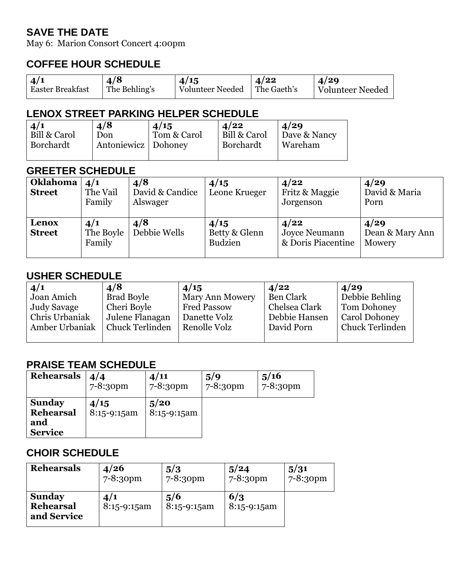### **SAVE THE DATE**

May 6: Marion Consort Concert 4:00pm

#### **COFFEE HOUR SCHEDULE**

| 4/8<br>4/15<br>4/29<br>4/22<br>4/1<br>The Behling's<br>Volunteer Needed<br><b>Easter Breakfast</b><br>The Gaeth's<br>Volunteer Needed |
|---------------------------------------------------------------------------------------------------------------------------------------|
|---------------------------------------------------------------------------------------------------------------------------------------|

#### **LENOX STREET PARKING HELPER SCHEDULE**

| 4/1          | 4/8                 | 4/15        | 4/22         | 4/29         |
|--------------|---------------------|-------------|--------------|--------------|
| Bill & Carol | Don                 | Tom & Carol | Bill & Carol | Dave & Nancy |
| Borchardt    | Antoniewicz Dohoney |             | Borchardt    | Wareham      |

#### **GREETER SCHEDULE**

| Oklahoma<br><b>Street</b> | 4/1<br>The Vail<br>Family  | 4/8<br>David & Candice<br>Alswager | 4/15<br>Leone Krueger                   | 4/22<br>Fritz & Maggie<br>Jorgenson         | 4/29<br>David & Maria<br>Porn     |
|---------------------------|----------------------------|------------------------------------|-----------------------------------------|---------------------------------------------|-----------------------------------|
| Lenox<br><b>Street</b>    | 4/1<br>The Boyle<br>Family | 4/8<br>Debbie Wells                | 4/15<br>Betty & Glenn<br><b>Budzien</b> | 4/22<br>Joyce Neumann<br>& Doris Piacentine | 4/29<br>Dean & Mary Ann<br>Mowery |

#### **USHER SCHEDULE**

| 4/1            | 4/8                    | 4/15               | 4/22          | 4/29                   |
|----------------|------------------------|--------------------|---------------|------------------------|
| Joan Amich     | Brad Boyle             | Mary Ann Mowery    | Ben Clark     | Debbie Behling         |
| Judy Savage    | Cheri Boyle            | <b>Fred Passow</b> | Chelsea Clark | Tom Dohoney            |
| Chris Urbaniak | Julene Flanagan        | Danette Volz       | Debbie Hansen | Carol Dohoney          |
| Amber Urbaniak | <b>Chuck Terlinden</b> | Renolle Volz       | David Porn    | <b>Chuck Terlinden</b> |
|                |                        |                    |               |                        |

#### **PRAISE TEAM SCHEDULE**

| <b>Rehearsals</b>                                   | 4/4                 | 4/11                     | 5/9           | 5/16     |
|-----------------------------------------------------|---------------------|--------------------------|---------------|----------|
|                                                     | $7 - 8:30$ pm       | $7 - 8:30$ pm            | $7 - 8:30$ pm | 7-8:30pm |
| <b>Sunday</b><br>Rehearsal<br>and<br><b>Service</b> | 4/15<br>8:15-9:15am | 5/20<br>$8:15 - 9:15$ am |               |          |

#### **CHOIR SCHEDULE**

| <b>Rehearsals</b>                         | 4/26                 | 5/3                  | 5/24                 | 5/31          |
|-------------------------------------------|----------------------|----------------------|----------------------|---------------|
|                                           | 7-8:30pm             | 7-8:30pm             | $7 - 8:30$ pm        | $7 - 8:30$ pm |
| <b>Sunday</b><br>Rehearsal<br>and Service | 4/1<br>$8:15-9:15am$ | 5/6<br>$8:15-9:15am$ | 6/3<br>$8:15-9:15am$ |               |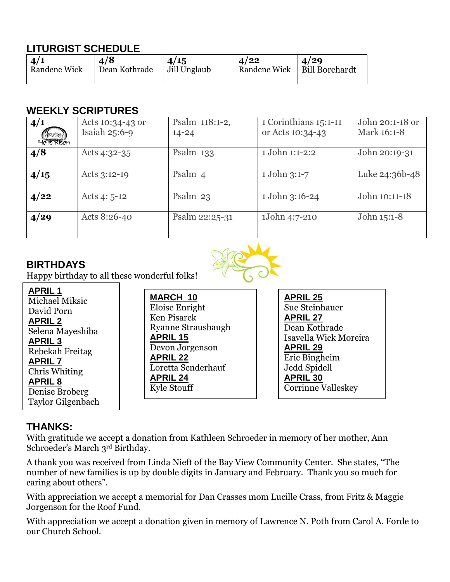# **LITURGIST SCHEDULE**

| 4/1          | 4/8           | 4/15         | 4/22 | $\frac{4}{29}$                |
|--------------|---------------|--------------|------|-------------------------------|
| Randene Wick | Dean Kothrade | Jill Unglaub |      | Randene Wick   Bill Borchardt |
|              |               |              |      |                               |

#### **WEEKLY SCRIPTURES**

| 4/1<br>TR 2<br>He is Risen | Acts 10:34-43 or<br>Isaiah $25:6-9$ | Psalm 118:1-2,<br>$14 - 24$ | 1 Corinthians 15:1-11<br>or Acts 10:34-43 | John 20:1-18 or<br>Mark 16:1-8 |
|----------------------------|-------------------------------------|-----------------------------|-------------------------------------------|--------------------------------|
| 4/8                        | Acts $4:32-35$                      | Psalm $133$                 | 1 John 1:1-2:2                            | John 20:19-31                  |
| 4/15                       | Acts $3:12-19$                      | Psalm 4                     | 1 John 3:1-7                              | Luke 24:36b-48                 |
| 4/22                       | Acts $4:5-12$                       | Psalm $23$                  | 1 John 3:16-24                            | John 10:11-18                  |
| 4/29                       | Acts 8:26-40                        | Psalm 22:25-31              | 1John 4:7-210                             | John 15:1-8                    |

#### **BIRTHDAYS**



Happy birthday to all these wonderful folks!

#### **APRIL 1**

| Michael Miksic           |
|--------------------------|
| David Porn               |
| <b>APRIL 2</b>           |
| Selena Mayeshiba         |
| <b>APRIL 3</b>           |
| Rebekah Freitag          |
| <b>APRIL 7</b>           |
| Chris Whiting            |
| APRIL <sub>8</sub>       |
| Denise Broberg           |
| <b>Taylor Gilgenbach</b> |
|                          |

**MARCH 10** Eloise Enright Ken Pisarek Ryanne Strausbaugh **APRIL 15** Devon Jorgenson **APRIL 22** Loretta Senderhauf **APRIL 24** Kyle Stouff

**APRIL 25** Sue Steinhauer **APRIL 27** Dean Kothrade Isavella Wick Moreira **APRIL 29** Eric Bingheim Jedd Spidell **APRIL 30** Corrinne Valleskey

#### **THANKS:**

With gratitude we accept a donation from Kathleen Schroeder in memory of her mother, Ann Schroeder's March 3rd Birthday.

A thank you was received from Linda Nieft of the Bay View Community Center. She states, "The number of new families is up by double digits in January and February. Thank you so much for caring about others".

With appreciation we accept a memorial for Dan Crasses mom Lucille Crass, from Fritz & Maggie Jorgenson for the Roof Fund.

With appreciation we accept a donation given in memory of Lawrence N. Poth from Carol A. Forde to our Church School.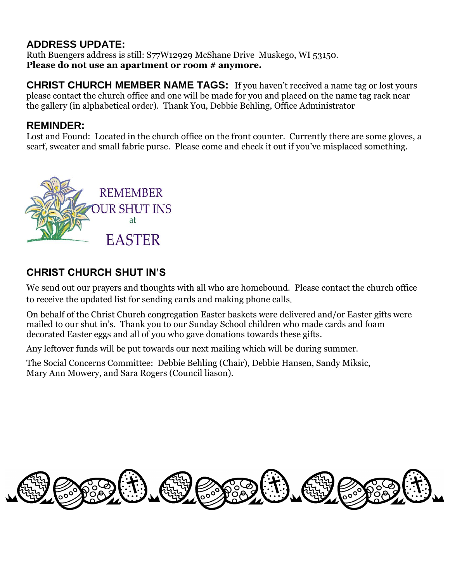### **ADDRESS UPDATE:**

Ruth Buengers address is still: S77W12929 McShane Drive Muskego, WI 53150. **Please do not use an apartment or room # anymore.**

**CHRIST CHURCH MEMBER NAME TAGS:** If you haven't received a name tag or lost yours please contact the church office and one will be made for you and placed on the name tag rack near the gallery (in alphabetical order). Thank You, Debbie Behling, Office Administrator

#### **REMINDER:**

Lost and Found: Located in the church office on the front counter. Currently there are some gloves, a scarf, sweater and small fabric purse. Please come and check it out if you've misplaced something.



# **CHRIST CHURCH SHUT IN'S**

We send out our prayers and thoughts with all who are homebound. Please contact the church office to receive the updated list for sending cards and making phone calls.

On behalf of the Christ Church congregation Easter baskets were delivered and/or Easter gifts were mailed to our shut in's. Thank you to our Sunday School children who made cards and foam decorated Easter eggs and all of you who gave donations towards these gifts.

Any leftover funds will be put towards our next mailing which will be during summer.

The Social Concerns Committee: Debbie Behling (Chair), Debbie Hansen, Sandy Miksic, Mary Ann Mowery, and Sara Rogers (Council liason).

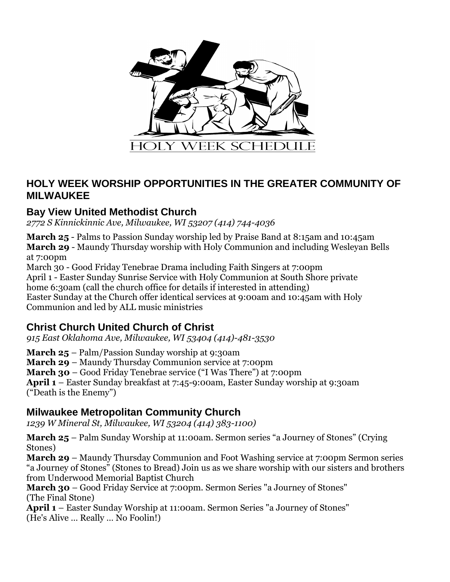

#### **HOLY WEEK WORSHIP OPPORTUNITIES IN THE GREATER COMMUNITY OF MILWAUKEE**

#### **Bay View United Methodist Church**

*2772 S Kinnickinnic Ave, Milwaukee, WI 53207 (414) 744-4036*

**March 25** - Palms to Passion Sunday worship led by Praise Band at 8:15am and 10:45am **March 29** - Maundy Thursday worship with Holy Communion and including Wesleyan Bells at 7:00pm

March 30 - Good Friday Tenebrae Drama including Faith Singers at 7:00pm April 1 - Easter Sunday Sunrise Service with Holy Communion at South Shore private home 6:30am (call the church office for details if interested in attending) Easter Sunday at the Church offer identical services at 9:00am and 10:45am with Holy Communion and led by ALL music ministries

#### **Christ Church United Church of Christ**

*915 East Oklahoma Ave, Milwaukee, WI 53404 (414)-481-3530*

**March 25** – Palm/Passion Sunday worship at 9:30am

**March 29** – Maundy Thursday Communion service at 7:00pm

**March 30** – Good Friday Tenebrae service ("I Was There") at 7:00pm

**April 1** – Easter Sunday breakfast at 7:45-9:00am, Easter Sunday worship at 9:30am ("Death is the Enemy")

#### **Milwaukee Metropolitan Community Church**

*1239 W Mineral St, Milwaukee, WI 53204 (414) 383-1100)*

**March 25** – Palm Sunday Worship at 11:00am. Sermon series "a Journey of Stones" (Crying Stones)

**March 29** – Maundy Thursday Communion and Foot Washing service at 7:00pm Sermon series "a Journey of Stones" (Stones to Bread) Join us as we share worship with our sisters and brothers from Underwood Memorial Baptist Church

**March 30** – Good Friday Service at 7:00pm. Sermon Series "a Journey of Stones" (The Final Stone)

**April 1** – Easter Sunday Worship at 11:00am. Sermon Series "a Journey of Stones" (He's Alive … Really … No Foolin!)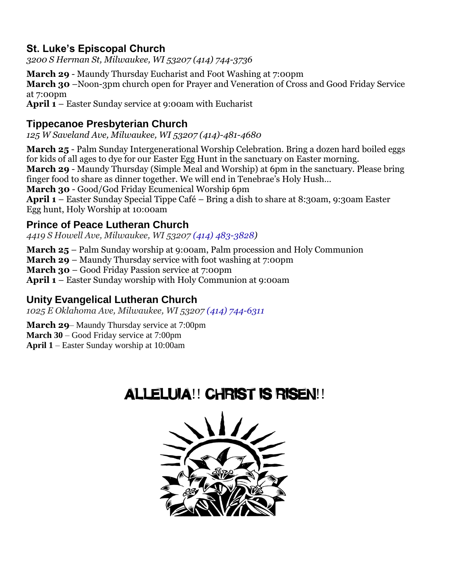#### **St. Luke's Episcopal Church**

*3200 S Herman St, Milwaukee, WI 53207 (414) 744-3736*

**March 29** - Maundy Thursday Eucharist and Foot Washing at 7:00pm **March 30** –Noon-3pm church open for Prayer and Veneration of Cross and Good Friday Service at 7:00pm **April 1** – Easter Sunday service at 9:00am with Eucharist

#### **Tippecanoe Presbyterian Church**

*125 W Saveland Ave, Milwaukee, WI 53207 (414)-481-4680*

**March 25** - Palm Sunday Intergenerational Worship Celebration. Bring a dozen hard boiled eggs for kids of all ages to dye for our Easter Egg Hunt in the sanctuary on Easter morning. **March 29** - Maundy Thursday (Simple Meal and Worship) at 6pm in the sanctuary. Please bring finger food to share as dinner together. We will end in Tenebrae's Holy Hush… **March 30** - Good/God Friday Ecumenical Worship 6pm **April 1** – Easter Sunday Special Tippe Café – Bring a dish to share at 8:30am, 9:30am Easter Egg hunt, Holy Worship at 10:00am

#### **Prince of Peace Lutheran Church**

*4419 S Howell Ave, Milwaukee, WI 53207 (414) 483-3828)*

**March 25** – Palm Sunday worship at 9:00am, Palm procession and Holy Communion **March 29** – Maundy Thursday service with foot washing at 7:00pm **March 30** – Good Friday Passion service at 7:00pm **April 1** – Easter Sunday worship with Holy Communion at 9:00am

# **Unity Evangelical Lutheran Church**

*1025 E Oklahoma Ave, Milwaukee, WI 53207 (414) 744-6311*

**March 29–** Maundy Thursday service at 7:00pm **March 30** – Good Friday service at 7:00pm **April 1** – Easter Sunday worship at 10:00am

# ALLELUIA!! CHRIST IS RISEN!!